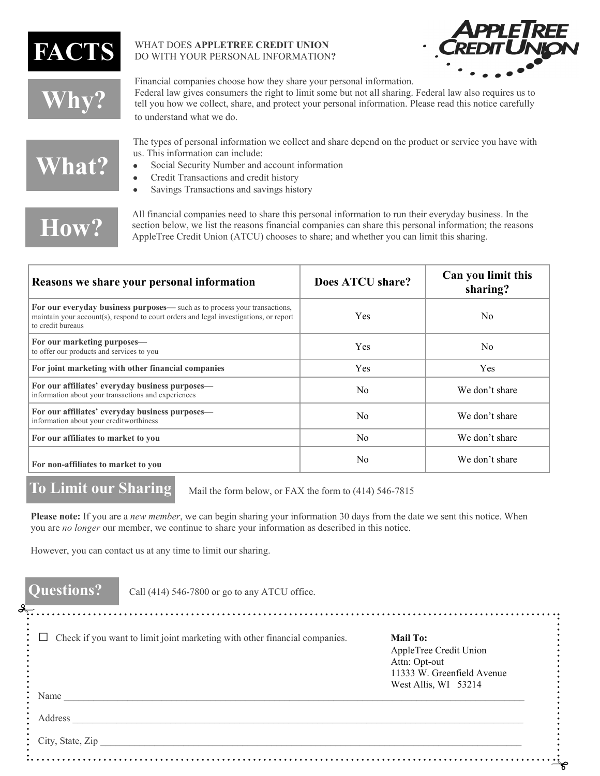

#### WHAT DOES **APPLETREE CREDIT UNION** DO WITH YOUR PERSONAL INFORMATION**?**



**Why?** 

Financial companies choose how they share your personal information. Federal law gives consumers the right to limit some but not all sharing. Federal law also requires us to tell you how we collect, share, and protect your personal information. Please read this notice carefully to understand what we do.

## **What?**

The types of personal information we collect and share depend on the product or service you have with us. This information can include:

- $\bullet$ Social Security Number and account information
- Credit Transactions and credit history
- Savings Transactions and savings history  $\bullet$

# **How?**

All financial companies need to share this personal information to run their everyday business. In the section below, we list the reasons financial companies can share this personal information; the reasons AppleTree Credit Union (ATCU) chooses to share; and whether you can limit this sharing.

| Reasons we share your personal information                                                                                                                                              | Does ATCU share? | Can you limit this<br>sharing? |
|-----------------------------------------------------------------------------------------------------------------------------------------------------------------------------------------|------------------|--------------------------------|
| For our everyday business purposes— such as to process your transactions,<br>maintain your account(s), respond to court orders and legal investigations, or report<br>to credit bureaus | Yes              | N <sub>0</sub>                 |
| For our marketing purposes—<br>to offer our products and services to you                                                                                                                | <b>Yes</b>       | N <sub>0</sub>                 |
| For joint marketing with other financial companies                                                                                                                                      | <b>Yes</b>       | <b>Yes</b>                     |
| For our affiliates' everyday business purposes—<br>information about your transactions and experiences                                                                                  | No.              | We don't share                 |
| For our affiliates' everyday business purposes—<br>information about your creditworthiness                                                                                              | N <sub>0</sub>   | We don't share                 |
| For our affiliates to market to you                                                                                                                                                     | N <sub>0</sub>   | We don't share                 |
| For non-affiliates to market to you                                                                                                                                                     | N <sub>0</sub>   | We don't share                 |

#### **To Limit our Sharing**

Mail the form below, or FAX the form to (414) 546-7815

**Please note:** If you are a *new member*, we can begin sharing your information 30 days from the date we sent this notice. When you are *no longer* our member, we continue to share your information as described in this notice.

However, you can contact us at any time to limit our sharing.

| <b>Mail To:</b><br>AppleTree Credit Union<br>Attn: Opt-out<br>11333 W. Greenfield Avenue<br>West Allis, WI 53214 |
|------------------------------------------------------------------------------------------------------------------|
|                                                                                                                  |
|                                                                                                                  |